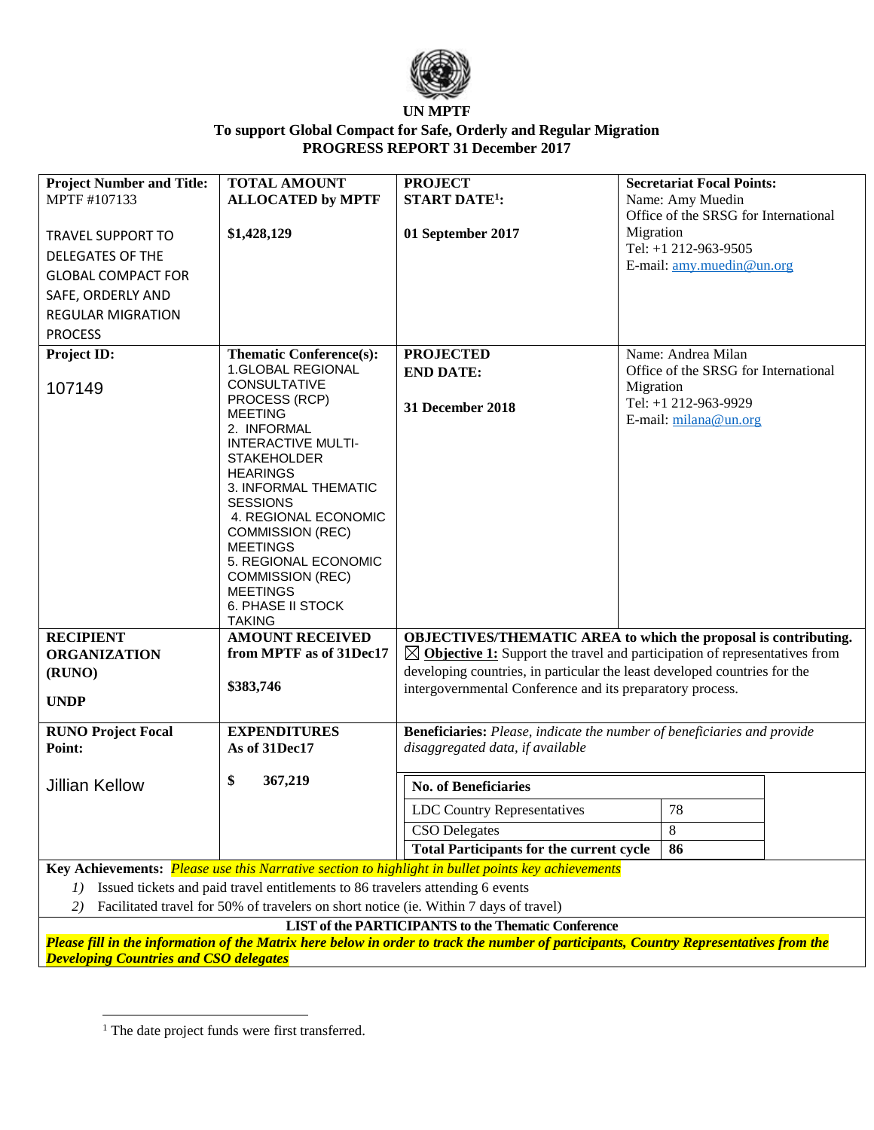

## **UN MPTF To support Global Compact for Safe, Orderly and Regular Migration PROGRESS REPORT 31 December 2017**

| <b>Project Number and Title:</b>                                                                                                       | <b>TOTAL AMOUNT</b>                             | <b>PROJECT</b>                                                                        | <b>Secretariat Focal Points:</b>                  |  |  |  |
|----------------------------------------------------------------------------------------------------------------------------------------|-------------------------------------------------|---------------------------------------------------------------------------------------|---------------------------------------------------|--|--|--|
| MPTF #107133                                                                                                                           | <b>ALLOCATED by MPTF</b>                        | <b>START DATE<sup>1</sup></b> :                                                       | Name: Amy Muedin                                  |  |  |  |
|                                                                                                                                        |                                                 |                                                                                       | Office of the SRSG for International              |  |  |  |
| <b>TRAVEL SUPPORT TO</b>                                                                                                               | \$1,428,129                                     | 01 September 2017                                                                     | Migration                                         |  |  |  |
| <b>DELEGATES OF THE</b>                                                                                                                |                                                 |                                                                                       | Tel: +1 212-963-9505<br>E-mail: amy.muedin@un.org |  |  |  |
| <b>GLOBAL COMPACT FOR</b>                                                                                                              |                                                 |                                                                                       |                                                   |  |  |  |
| SAFE, ORDERLY AND                                                                                                                      |                                                 |                                                                                       |                                                   |  |  |  |
| <b>REGULAR MIGRATION</b>                                                                                                               |                                                 |                                                                                       |                                                   |  |  |  |
| <b>PROCESS</b>                                                                                                                         |                                                 |                                                                                       |                                                   |  |  |  |
| Project ID:                                                                                                                            | <b>Thematic Conference(s):</b>                  | <b>PROJECTED</b>                                                                      | Name: Andrea Milan                                |  |  |  |
|                                                                                                                                        | 1.GLOBAL REGIONAL                               | <b>END DATE:</b>                                                                      | Office of the SRSG for International              |  |  |  |
| 107149                                                                                                                                 | <b>CONSULTATIVE</b><br>PROCESS (RCP)            |                                                                                       | Migration                                         |  |  |  |
|                                                                                                                                        | <b>MEETING</b>                                  | 31 December 2018                                                                      | Tel: +1 212-963-9929<br>E-mail: milana@un.org     |  |  |  |
|                                                                                                                                        | 2. INFORMAL                                     |                                                                                       |                                                   |  |  |  |
|                                                                                                                                        | <b>INTERACTIVE MULTI-</b>                       |                                                                                       |                                                   |  |  |  |
|                                                                                                                                        | <b>STAKEHOLDER</b><br><b>HEARINGS</b>           |                                                                                       |                                                   |  |  |  |
|                                                                                                                                        | 3. INFORMAL THEMATIC                            |                                                                                       |                                                   |  |  |  |
|                                                                                                                                        | <b>SESSIONS</b>                                 |                                                                                       |                                                   |  |  |  |
|                                                                                                                                        | 4. REGIONAL ECONOMIC<br><b>COMMISSION (REC)</b> |                                                                                       |                                                   |  |  |  |
|                                                                                                                                        | <b>MEETINGS</b>                                 |                                                                                       |                                                   |  |  |  |
|                                                                                                                                        | 5. REGIONAL ECONOMIC                            |                                                                                       |                                                   |  |  |  |
|                                                                                                                                        | <b>COMMISSION (REC)</b>                         |                                                                                       |                                                   |  |  |  |
|                                                                                                                                        | <b>MEETINGS</b><br>6. PHASE II STOCK            |                                                                                       |                                                   |  |  |  |
|                                                                                                                                        | <b>TAKING</b>                                   |                                                                                       |                                                   |  |  |  |
| <b>RECIPIENT</b>                                                                                                                       | <b>AMOUNT RECEIVED</b>                          | OBJECTIVES/THEMATIC AREA to which the proposal is contributing.                       |                                                   |  |  |  |
| <b>ORGANIZATION</b>                                                                                                                    | from MPTF as of 31Dec17                         | $\boxtimes$ Objective 1: Support the travel and participation of representatives from |                                                   |  |  |  |
| (RUNO)                                                                                                                                 |                                                 | developing countries, in particular the least developed countries for the             |                                                   |  |  |  |
| <b>UNDP</b>                                                                                                                            | \$383,746                                       | intergovernmental Conference and its preparatory process.                             |                                                   |  |  |  |
|                                                                                                                                        |                                                 |                                                                                       |                                                   |  |  |  |
| <b>RUNO Project Focal</b>                                                                                                              | <b>EXPENDITURES</b>                             | <b>Beneficiaries:</b> Please, indicate the number of beneficiaries and provide        |                                                   |  |  |  |
| Point:                                                                                                                                 | As of 31Dec17                                   | disaggregated data, if available                                                      |                                                   |  |  |  |
| <b>Jillian Kellow</b>                                                                                                                  | \$<br>367,219                                   | <b>No. of Beneficiaries</b>                                                           |                                                   |  |  |  |
|                                                                                                                                        |                                                 | LDC Country Representatives                                                           | 78                                                |  |  |  |
|                                                                                                                                        |                                                 | <b>CSO</b> Delegates                                                                  | 8                                                 |  |  |  |
|                                                                                                                                        |                                                 | <b>Total Participants for the current cycle</b>                                       | 86                                                |  |  |  |
| Key Achievements: Please use this Narrative section to highlight in bullet points key achievements                                     |                                                 |                                                                                       |                                                   |  |  |  |
| Issued tickets and paid travel entitlements to 86 travelers attending 6 events<br>1)                                                   |                                                 |                                                                                       |                                                   |  |  |  |
| Facilitated travel for 50% of travelers on short notice (ie. Within 7 days of travel)<br>2)                                            |                                                 |                                                                                       |                                                   |  |  |  |
|                                                                                                                                        |                                                 | <b>LIST of the PARTICIPANTS to the Thematic Conference</b>                            |                                                   |  |  |  |
| Please fill in the information of the Matrix here below in order to track the number of participants, Country Representatives from the |                                                 |                                                                                       |                                                   |  |  |  |
| <b>Developing Countries and CSO delegates</b>                                                                                          |                                                 |                                                                                       |                                                   |  |  |  |

<sup>&</sup>lt;sup>1</sup> The date project funds were first transferred.

 $\overline{\phantom{a}}$